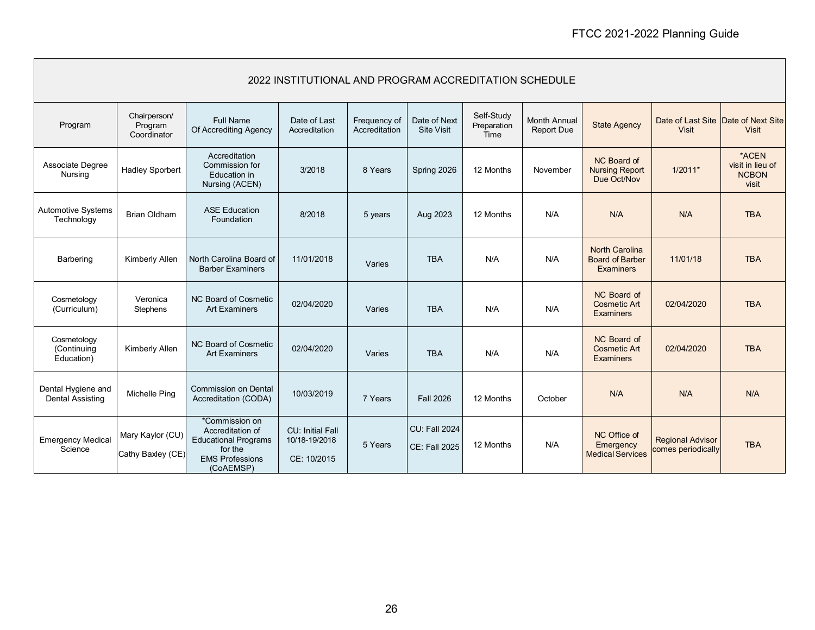| 2022 INSTITUTIONAL AND PROGRAM ACCREDITATION SCHEDULE |                                        |                                                                                                                     |                                                  |                               |                                              |                                   |                                          |                                                                     |                                                     |                                                    |
|-------------------------------------------------------|----------------------------------------|---------------------------------------------------------------------------------------------------------------------|--------------------------------------------------|-------------------------------|----------------------------------------------|-----------------------------------|------------------------------------------|---------------------------------------------------------------------|-----------------------------------------------------|----------------------------------------------------|
| Program                                               | Chairperson/<br>Program<br>Coordinator | <b>Full Name</b><br>Of Accrediting Agency                                                                           | Date of Last<br>Accreditation                    | Frequency of<br>Accreditation | Date of Next<br><b>Site Visit</b>            | Self-Study<br>Preparation<br>Time | <b>Month Annual</b><br><b>Report Due</b> | <b>State Agency</b>                                                 | Date of Last Site Date of Next Site<br><b>Visit</b> | <b>Visit</b>                                       |
| Associate Degree<br>Nursing                           | <b>Hadley Sporbert</b>                 | Accreditation<br>Commission for<br>Education in<br>Nursing (ACEN)                                                   | 3/2018                                           | 8 Years                       | Spring 2026                                  | 12 Months                         | November                                 | NC Board of<br><b>Nursing Report</b><br>Due Oct/Nov                 | $1/2011*$                                           | *ACEN<br>visit in lieu of<br><b>NCBON</b><br>visit |
| Automotive Systems<br>Technology                      | <b>Brian Oldham</b>                    | <b>ASE Education</b><br>Foundation                                                                                  | 8/2018                                           | 5 years                       | Aug 2023                                     | 12 Months                         | N/A                                      | N/A                                                                 | N/A                                                 | <b>TBA</b>                                         |
| Barbering                                             | Kimberly Allen                         | North Carolina Board of<br><b>Barber Examiners</b>                                                                  | 11/01/2018                                       | Varies                        | <b>TBA</b>                                   | N/A                               | N/A                                      | <b>North Carolina</b><br><b>Board of Barber</b><br><b>Examiners</b> | 11/01/18                                            | <b>TBA</b>                                         |
| Cosmetology<br>(Curriculum)                           | Veronica<br>Stephens                   | NC Board of Cosmetic<br><b>Art Examiners</b>                                                                        | 02/04/2020                                       | Varies                        | <b>TBA</b>                                   | N/A                               | N/A                                      | NC Board of<br><b>Cosmetic Art</b><br><b>Examiners</b>              | 02/04/2020                                          | <b>TBA</b>                                         |
| Cosmetology<br>(Continuing<br>Education)              | Kimberly Allen                         | NC Board of Cosmetic<br><b>Art Examiners</b>                                                                        | 02/04/2020                                       | Varies                        | <b>TBA</b>                                   | N/A                               | N/A                                      | NC Board of<br><b>Cosmetic Art</b><br><b>Examiners</b>              | 02/04/2020                                          | <b>TBA</b>                                         |
| Dental Hygiene and<br><b>Dental Assisting</b>         | Michelle Ping                          | <b>Commission on Dental</b><br>Accreditation (CODA)                                                                 | 10/03/2019                                       | 7 Years                       | <b>Fall 2026</b>                             | 12 Months                         | October                                  | N/A                                                                 | N/A                                                 | N/A                                                |
| <b>Emergency Medical</b><br>Science                   | Mary Kaylor (CU)<br>Cathy Baxley (CE)  | *Commission on<br>Accreditation of<br><b>Educational Programs</b><br>for the<br><b>EMS Professions</b><br>(CoAEMSP) | CU: Initial Fall<br>10/18-19/2018<br>CE: 10/2015 | 5 Years                       | <b>CU: Fall 2024</b><br><b>CE: Fall 2025</b> | 12 Months                         | N/A                                      | NC Office of<br>Emergency<br><b>Medical Services</b>                | <b>Regional Advisor</b><br>comes periodically       | <b>TBA</b>                                         |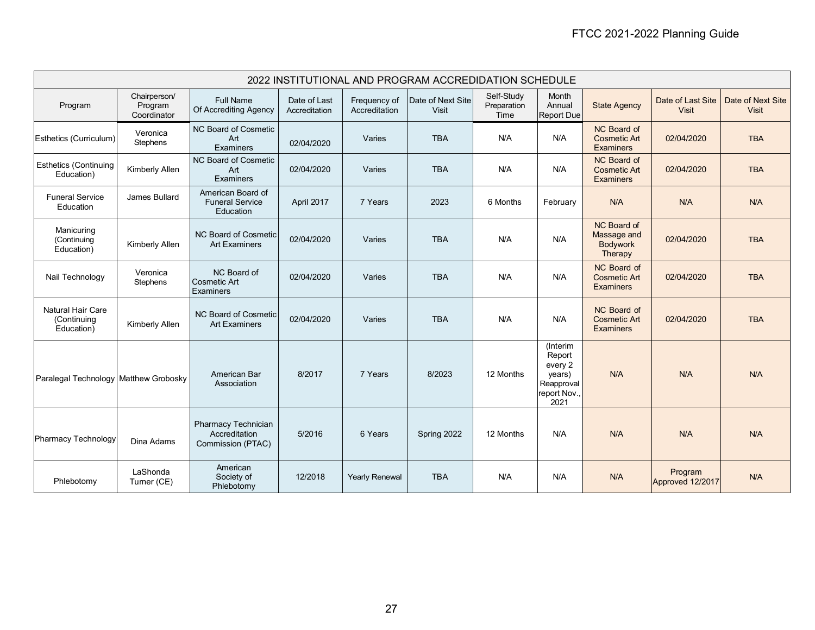| 2022 INSTITUTIONAL AND PROGRAM ACCREDIDATION SCHEDULE |                                        |                                                                  |                               |                               |                            |                                   |                                                                               |                                                          |                                   |                                   |
|-------------------------------------------------------|----------------------------------------|------------------------------------------------------------------|-------------------------------|-------------------------------|----------------------------|-----------------------------------|-------------------------------------------------------------------------------|----------------------------------------------------------|-----------------------------------|-----------------------------------|
| Program                                               | Chairperson/<br>Program<br>Coordinator | <b>Full Name</b><br>Of Accrediting Agency                        | Date of Last<br>Accreditation | Frequency of<br>Accreditation | Date of Next Site<br>Visit | Self-Study<br>Preparation<br>Time | Month<br>Annual<br><b>Report Due</b>                                          | <b>State Agency</b>                                      | Date of Last Site<br><b>Visit</b> | Date of Next Site<br><b>Visit</b> |
| Esthetics (Curriculum)                                | Veronica<br>Stephens                   | NC Board of Cosmetic<br>Art<br>Examiners                         | 02/04/2020                    | Varies                        | <b>TBA</b>                 | N/A                               | N/A                                                                           | NC Board of<br><b>Cosmetic Art</b><br><b>Examiners</b>   | 02/04/2020                        | <b>TBA</b>                        |
| <b>Esthetics (Continuing</b><br>Education)            | Kimberly Allen                         | NC Board of Cosmetic<br>Art<br>Examiners                         | 02/04/2020                    | Varies                        | <b>TBA</b>                 | N/A                               | N/A                                                                           | NC Board of<br><b>Cosmetic Art</b><br><b>Examiners</b>   | 02/04/2020                        | <b>TBA</b>                        |
| <b>Funeral Service</b><br>Education                   | James Bullard                          | American Board of<br><b>Funeral Service</b><br>Education         | April 2017                    | 7 Years                       | 2023                       | 6 Months                          | February                                                                      | N/A                                                      | N/A                               | N/A                               |
| Manicuring<br>(Continuing<br>Education)               | Kimberly Allen                         | NC Board of Cosmetic<br><b>Art Examiners</b>                     | 02/04/2020                    | Varies                        | <b>TBA</b>                 | N/A                               | N/A                                                                           | NC Board of<br>Massage and<br><b>Bodywork</b><br>Therapy | 02/04/2020                        | <b>TBA</b>                        |
| Nail Technology                                       | Veronica<br>Stephens                   | NC Board of<br><b>Cosmetic Art</b><br>Examiners                  | 02/04/2020                    | Varies                        | <b>TBA</b>                 | N/A                               | N/A                                                                           | NC Board of<br><b>Cosmetic Art</b><br><b>Examiners</b>   | 02/04/2020                        | <b>TBA</b>                        |
| <b>Natural Hair Care</b><br>(Continuing<br>Education) | Kimberly Allen                         | NC Board of Cosmetic<br><b>Art Examiners</b>                     | 02/04/2020                    | Varies                        | <b>TBA</b>                 | N/A                               | N/A                                                                           | NC Board of<br><b>Cosmetic Art</b><br><b>Examiners</b>   | 02/04/2020                        | <b>TBA</b>                        |
| Paralegal Technology Matthew Grobosky                 |                                        | American Bar<br>Association                                      | 8/2017                        | 7 Years                       | 8/2023                     | 12 Months                         | (Interim<br>Report<br>every 2<br>years)<br>Reapproval<br>report Nov.,<br>2021 | N/A                                                      | N/A                               | N/A                               |
| <b>Pharmacy Technology</b>                            | Dina Adams                             | <b>Pharmacy Technician</b><br>Accreditation<br>Commission (PTAC) | 5/2016                        | 6 Years                       | Spring 2022                | 12 Months                         | N/A                                                                           | N/A                                                      | N/A                               | N/A                               |
| Phlebotomy                                            | LaShonda<br>Turner (CE)                | American<br>Society of<br>Phlebotomy                             | 12/2018                       | <b>Yearly Renewal</b>         | <b>TBA</b>                 | N/A                               | N/A                                                                           | N/A                                                      | Program<br>Approved 12/2017       | N/A                               |